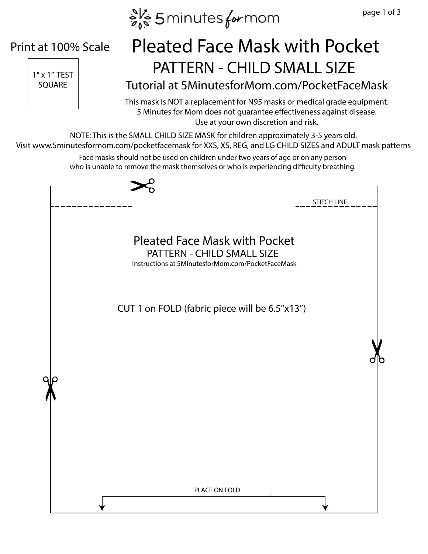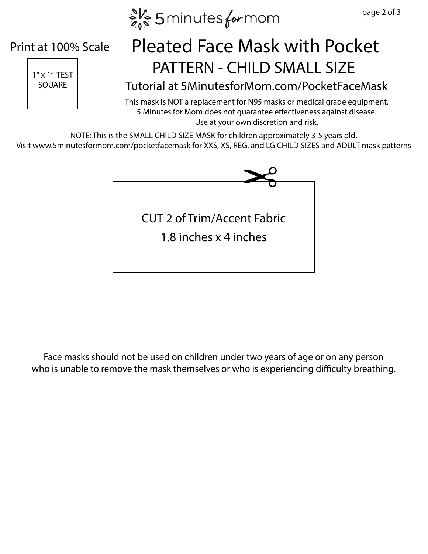$e^{N_c}$  5 minutes for mom

## Print at 100% Scale



## $\frac{1}{1-x}$  1"  $x$  1" TEST Pleated Face Mask with Pocket

## SQUARE Tutorial at 5MinutesforMom.com/PocketFaceMask

This mask is NOT a replacement for N95 masks or medical grade equipment. 5 Minutes for Mom does not guarantee effectiveness against disease. Use at your own discretion and risk.

NOTE: This is the SMALL CHILD SIZE MASK for children approximately 3-5 years old. Visit www.5minutesformom.com/pocketfacemask for XXS, XS, REG, and LG CHILD SIZES and ADULT mask patterns



Face masks should not be used on children under two years of age or on any person who is unable to remove the mask themselves or who is experiencing difficulty breathing.